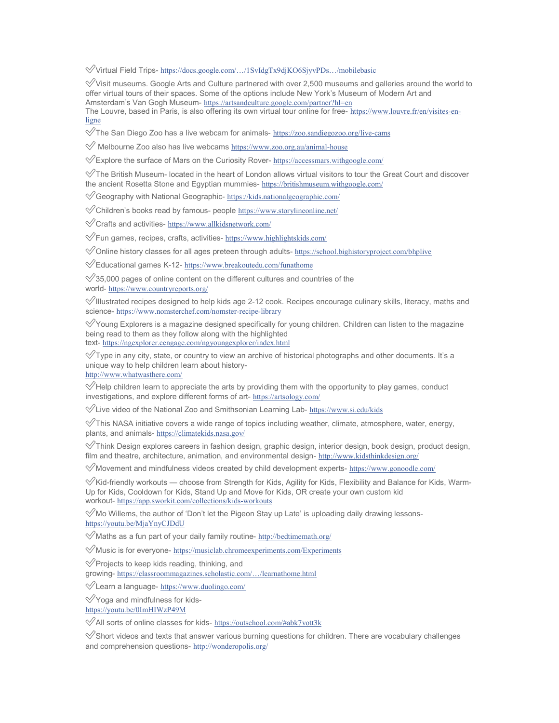✅Virtual Field Trips- https://docs.google.com/…/1SvIdgTx9djKO6SjyvPDs…/mobilebasic

 $\sqrt{2}$ Visit museums. Google Arts and Culture partnered with over 2,500 museums and galleries around the world to offer virtual tours of their spaces. Some of the options include New York's Museum of Modern Art and Amsterdam's Van Gogh Museum- https://artsandculture.google.com/partner?hl=en The Louvre, based in Paris, is also offering its own virtual tour online for free- https://www.louvre.fr/en/visites-enligne

 $\sqrt{ }$ The San Diego Zoo has a live webcam for animals- https://zoo.sandiegozoo.org/live-cams

✅ Melbourne Zoo also has live webcams https://www.zoo.org.au/animal-house

✅Explore the surface of Mars on the Curiosity Rover- https://accessmars.withgoogle.com/

 $\sqrt{2}$ The British Museum- located in the heart of London allows virtual visitors to tour the Great Court and discover the ancient Rosetta Stone and Egyptian mummies- https://britishmuseum.withgoogle.com/

 $\mathcal{\sqrt{G}}$ eography with National Geographic- https://kids.nationalgeographic.com/

 $\mathcal O$ Children's books read by famous- people https://www.storylineonline.net/

 $\mathcal O$ Crafts and activities- https://www.allkidsnetwork.com/

 $\mathcal V$ Fun games, recipes, crafts, activities- https://www.highlightskids.com/

✅Online history classes for all ages preteen through adults- https://school.bighistoryproject.com/bhplive

 $\mathcal V$ Educational games K-12- https://www.breakoutedu.com/funathome

 $\sqrt{35,000}$  pages of online content on the different cultures and countries of the

world- https://www.countryreports.org/

 $\mathcal V$ Illustrated recipes designed to help kids age 2-12 cook. Recipes encourage culinary skills, literacy, maths and science- https://www.nomsterchef.com/nomster-recipe-library

 $\mathcal Y$ Young Explorers is a magazine designed specifically for young children. Children can listen to the magazine being read to them as they follow along with the highlighted text- https://ngexplorer.cengage.com/ngyoungexplorer/index.html

 $\ll$ Type in any city, state, or country to view an archive of historical photographs and other documents. It's a unique way to help children learn about history-

http://www.whatwasthere.com/

 $\operatorname{\ll}$ Help children learn to appreciate the arts by providing them with the opportunity to play games, conduct investigations, and explore different forms of art- https://artsology.com/

 $\sqrt[6]{\text{Live video of the National Zoo and Smithsonian Learning Lab- <https://www.si.edu/kids>$ 

 $\sqrt{2}$ This NASA initiative covers a wide range of topics including weather, climate, atmosphere, water, energy, plants, and animals- https://climatekids.nasa.gov/

 $\ll$ Think Design explores careers in fashion design, graphic design, interior design, book design, product design, film and theatre, architecture, animation, and environmental design-http://www.kidsthinkdesign.org/

 $\mathcal V$ Movement and mindfulness videos created by child development experts- https://www.gonoodle.com/

 $\mathscr A$ Kid-friendly workouts — choose from Strength for Kids, Agility for Kids, Flexibility and Balance for Kids, Warm-Up for Kids, Cooldown for Kids, Stand Up and Move for Kids, OR create your own custom kid workout- https://app.sworkit.com/collections/kids-workouts

 $\mathcal{O}$ Mo Willems, the author of 'Don't let the Pigeon Stay up Late' is uploading daily drawing lessonshttps://youtu.be/MjaYnyCJDdU

 $\mathcal V$ Maths as a fun part of your daily family routine-  $_\text{http://bedtimemath.org/}$ 

 $\mathcal W$ Music is for everyone- https://musiclab.chromeexperiments.com/Experiments

 $\mathcal Q$ Projects to keep kids reading, thinking, and

growing- https://classroommagazines.scholastic.com/…/learnathome.html

 $\mathcal Q$ Learn a language- https://www.duolingo.com/

✅Yoga and mindfulness for kids-

https://youtu.be/0ImHIWzP49M

 $\mathcal{\sqrt{}}$ All sorts of online classes for kids-  $\underline{https://outschool.com/#abk7vott3k}$ 

 $\mathcal{\heartsuit}$ Short videos and texts that answer various burning questions for children. There are vocabulary challenges and comprehension questions- http://wonderopolis.org/